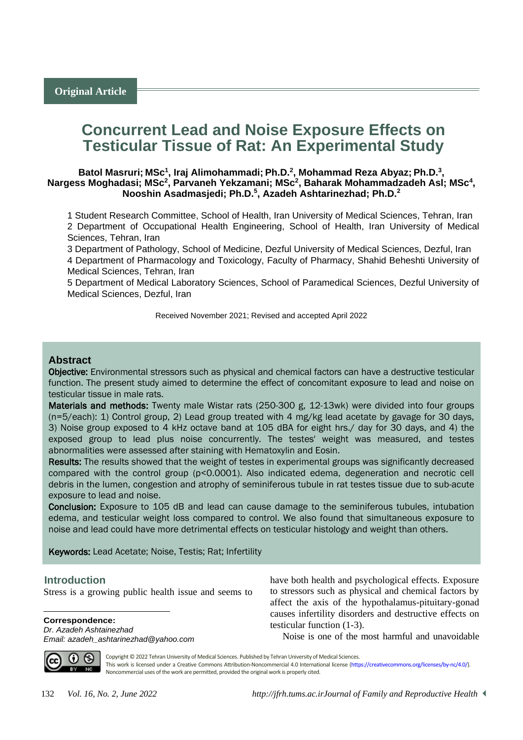# **Concurrent Lead and Noise Exposure Effects on Testicular Tissue of Rat: An Experimental Study**

**Batol Masruri; MSc<sup>1</sup> , Iraj Alimohammadi; Ph.D.<sup>2</sup> , Mohammad Reza Abyaz; Ph.D.<sup>3</sup> ,**  Nargess Moghadasi; MSc<sup>2</sup>, Parvaneh Yekzamani; MSc<sup>2</sup>, Baharak Mohammadzadeh AsI; MSc<sup>4</sup>, **Nooshin Asadmasjedi; Ph.D.<sup>5</sup> , Azadeh Ashtarinezhad; Ph.D.<sup>2</sup>**

1 Student Research Committee, School of Health, Iran University of Medical Sciences, Tehran, Iran 2 Department of Occupational Health Engineering, School of Health, Iran University of Medical Sciences, Tehran, Iran

3 Department of Pathology, School of Medicine, Dezful University of Medical Sciences, Dezful, Iran 4 Department of Pharmacology and Toxicology, Faculty of Pharmacy, Shahid Beheshti University of Medical Sciences, Tehran, Iran

5 Department of Medical Laboratory Sciences, School of Paramedical Sciences, Dezful University of Medical Sciences, Dezful, Iran

Received November 2021; Revised and accepted April 2022

#### **Abstract**

Objective: Environmental stressors such as physical and chemical factors can have a destructive testicular function. The present study aimed to determine the effect of concomitant exposure to lead and noise on testicular tissue in male rats.

Materials and methods: Twenty male Wistar rats (250-300 g, 12-13wk) were divided into four groups (n=5/each): 1) Control group, 2) Lead group treated with 4 mg/kg lead acetate by gavage for 30 days, 3) Noise group exposed to 4 kHz octave band at 105 dBA for eight hrs./ day for 30 days, and 4) the exposed group to lead plus noise concurrently. The testes' weight was measured, and testes abnormalities were assessed after staining with Hematoxylin and Eosin.

Results: The results showed that the weight of testes in experimental groups was significantly decreased compared with the control group (p<0.0001). Also indicated edema, degeneration and necrotic cell debris in the lumen, congestion and atrophy of seminiferous tubule in rat testes tissue due to sub-acute exposure to lead and noise.

Conclusion: Exposure to 105 dB and lead can cause damage to the seminiferous tubules, intubation edema, and testicular weight loss compared to control. We also found that simultaneous exposure to noise and lead could have more detrimental effects on testicular histology and weight than others.

Keywords: Lead Acetate; Noise, Testis; Rat; Infertility

#### <sup>1</sup>**Introduction**

Stress is a growing public health issue and seems to

**Correspondence:** *Dr. Azadeh Ashtainezhad*

*Email: azadeh\_ashtarinezhad@yahoo.com*

have both health and psychological effects. Exposure to stressors such as physical and chemical factors by affect the axis of the hypothalamus-pituitary-gonad causes infertility disorders and destructive effects on testicular function [\(1-3\)](#page-4-0).

Noise is one of the most harmful and unavoidable



 $\overline{a}$ 

Copyright © 2022 Tehran University of Medical Sciences. Published by Tehran University of Medical Sciences. This work is licensed under a Creative Commons Attribution-Noncommercial 4.0 International license [\(https://creativecommons.org/licenses/by-nc/4.0/\)](https://creativecommons.org/licenses/by-nc/4.0/). Noncommercial uses of the work are permitted, provided the original work is properly cited.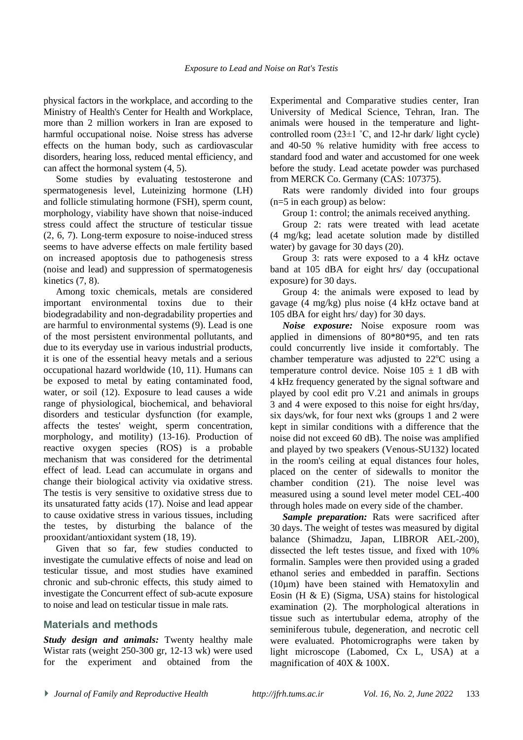physical factors in the workplace, and according to the Ministry of Health's Center for Health and Workplace, more than 2 million workers in Iran are exposed to harmful occupational noise. Noise stress has adverse effects on the human body, such as cardiovascular disorders, hearing loss, reduced mental efficiency, and can affect the hormonal system [\(4,](#page-4-1) [5\)](#page-4-2).

Some studies by evaluating testosterone and spermatogenesis level, Luteinizing hormone (LH) and follicle stimulating hormone (FSH), sperm count, morphology, viability have shown that noise-induced stress could affect the structure of testicular tissue [\(2,](#page-4-3) 6, [7\)](#page-4-4). Long-term exposure to noise-induced stress seems to have adverse effects on male fertility based on increased apoptosis due to pathogenesis stress (noise and lead) and suppression of spermatogenesis kinetics [\(7,](#page-4-4) 8).

Among toxic chemicals, metals are considered important environmental toxins due to their biodegradability and non-degradability properties and are harmful to environmental systems [\(9\)](#page-4-5). Lead is one of the most persistent environmental pollutants, and due to its everyday use in various industrial products, it is one of the essential heavy metals and a serious occupational hazard worldwide [\(10,](#page-4-6) [11\)](#page-4-7). Humans can be exposed to metal by eating contaminated food, water, or soil [\(12\)](#page-5-0). Exposure to lead causes a wide range of physiological, biochemical, and behavioral disorders and testicular dysfunction (for example, affects the testes' weight, sperm concentration, morphology, and motility) (13-16). Production of reactive oxygen species (ROS) is a probable mechanism that was considered for the detrimental effect of lead. Lead can accumulate in organs and change their biological activity via oxidative stress. The testis is very sensitive to oxidative stress due to its unsaturated fatty acids [\(17\)](#page-5-1). Noise and lead appear to cause oxidative stress in various tissues, including the testes, by disturbing the balance of the prooxidant/antioxidant system [\(18,](#page-5-2) [19\)](#page-5-3).

Given that so far, few studies conducted to investigate the cumulative effects of noise and lead on testicular tissue, and most studies have examined chronic and sub-chronic effects, this study aimed to investigate the Concurrent effect of sub-acute exposure to noise and lead on testicular tissue in male rats.

## **Materials and methods**

*Study design and animals:* Twenty healthy male Wistar rats (weight 250-300 gr, 12-13 wk) were used for the experiment and obtained from the Experimental and Comparative studies center, Iran University of Medical Science, Tehran, Iran. The animals were housed in the temperature and lightcontrolled room  $(23\pm1$  °C, and 12-hr dark/ light cycle) and 40-50 % relative humidity with free access to standard food and water and accustomed for one week before the study. Lead acetate powder was purchased from MERCK Co. Germany (CAS: 107375).

Rats were randomly divided into four groups (n=5 in each group) as below:

Group 1: control; the animals received anything.

Group 2: rats were treated with lead acetate (4 mg/kg; lead acetate solution made by distilled water) by gavage for 30 days [\(20\)](#page-5-4).

Group 3: rats were exposed to a 4 kHz octave band at 105 dBA for eight hrs/ day (occupational exposure) for 30 days.

Group 4: the animals were exposed to lead by gavage (4 mg/kg) plus noise (4 kHz octave band at 105 dBA for eight hrs/ day) for 30 days.

*Noise exposure:* Noise exposure room was applied in dimensions of 80\*80\*95, and ten rats could concurrently live inside it comfortably. The chamber temperature was adjusted to  $22^{\circ}$ C using a temperature control device. Noise  $105 \pm 1$  dB with 4 kHz frequency generated by the signal software and played by cool edit pro V.21 and animals in groups 3 and 4 were exposed to this noise for eight hrs/day, six days/wk, for four next wks (groups 1 and 2 were kept in similar conditions with a difference that the noise did not exceed 60 dB). The noise was amplified and played by two speakers (Venous-SU132) located in the room's ceiling at equal distances four holes, placed on the center of sidewalls to monitor the chamber condition [\(21\)](#page-5-5). The noise level was measured using a sound level meter model CEL-400 through holes made on every side of the chamber.

*Sample preparation:* Rats were sacrificed after 30 days. The weight of testes was measured by digital balance (Shimadzu, Japan, LIBROR AEL-200), dissected the left testes tissue, and fixed with 10% formalin. Samples were then provided using a graded ethanol series and embedded in paraffin. Sections (10µm) have been stained with Hematoxylin and Eosin (H & E) (Sigma, USA) stains for histological examination [\(2\)](#page-4-3). The morphological alterations in tissue such as intertubular edema, atrophy of the seminiferous tubule, degeneration, and necrotic cell were evaluated. Photomicrographs were taken by light microscope (Labomed, Cx L, USA) at a magnification of 40X & 100X.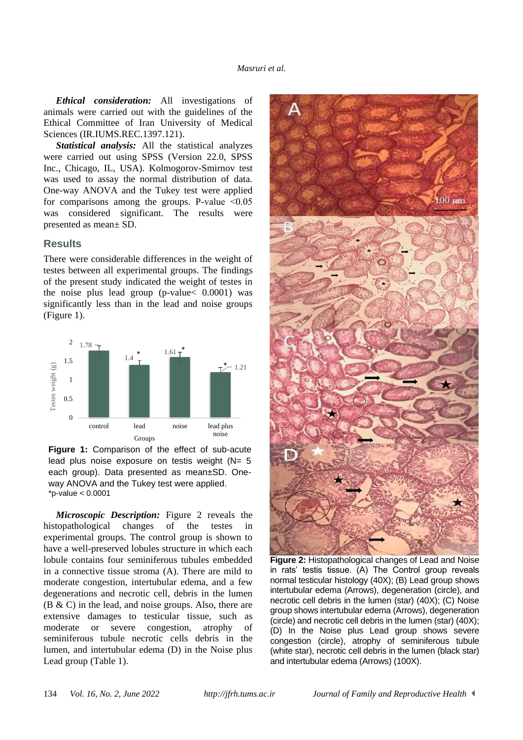*Ethical consideration:* All investigations of animals were carried out with the guidelines of the Ethical Committee of Iran University of Medical Sciences (IR.IUMS.REC.1397.121).

*Statistical analysis:* All the statistical analyzes were carried out using SPSS (Version 22.0, SPSS Inc., Chicago, IL, USA). Kolmogorov-Smirnov test was used to assay the normal distribution of data. One-way ANOVA and the Tukey test were applied for comparisons among the groups. P-value  $\leq 0.05$ was considered significant. The results were presented as mean± SD.

#### **Results**

There were considerable differences in the weight of testes between all experimental groups. The findings of the present study indicated the weight of testes in the noise plus lead group (p-value< 0.0001) was significantly less than in the lead and noise groups (Figure 1).



**Figure 1:** Comparison of the effect of sub-acute lead plus noise exposure on testis weight  $(N= 5)$ each group). Data presented as mean±SD. Oneway ANOVA and the Tukey test were applied. \*p-value < 0.0001

*Microscopic Description:* Figure 2 reveals the histopathological changes of the testes in experimental groups. The control group is shown to have a well-preserved lobules structure in which each lobule contains four seminiferous tubules embedded in a connective tissue stroma (A). There are mild to moderate congestion, intertubular edema, and a few degenerations and necrotic cell, debris in the lumen (B & C) in the lead, and noise groups. Also, there are extensive damages to testicular tissue, such as moderate or severe congestion, atrophy of seminiferous tubule necrotic cells debris in the lumen, and intertubular edema (D) in the Noise plus Lead group (Table 1).



**Figure 2:** Histopathological changes of Lead and Noise in rats' testis tissue. (A) The Control group reveals normal testicular histology (40X); (B) Lead group shows intertubular edema (Arrows), degeneration (circle), and necrotic cell debris in the lumen (star) (40X); (C) Noise group shows intertubular edema (Arrows), degeneration (circle) and necrotic cell debris in the lumen (star) (40X); (D) In the Noise plus Lead group shows severe congestion (circle), atrophy of seminiferous tubule (white star), necrotic cell debris in the lumen (black star) and intertubular edema (Arrows) (100X).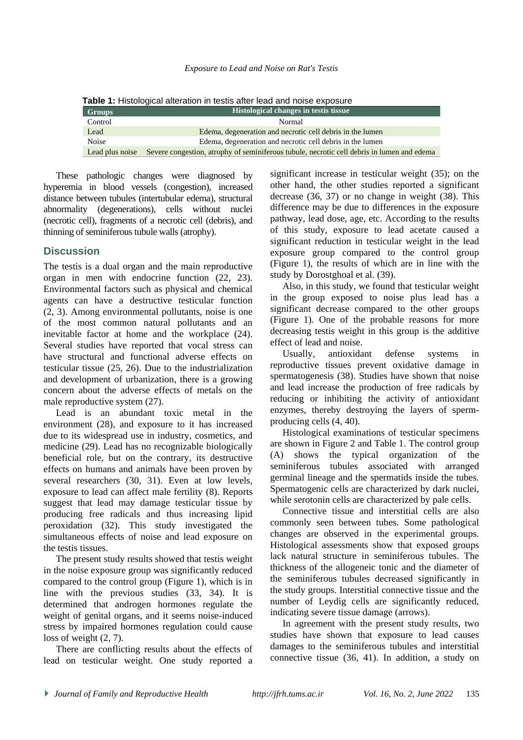**Table 1:** Histological alteration in testis after lead and noise exposure

| <b>Groups</b>   | Histological changes in testis tissue                                                      |
|-----------------|--------------------------------------------------------------------------------------------|
| Control         | Normal                                                                                     |
| Lead            | Edema, degeneration and necrotic cell debris in the lumen                                  |
| <b>Noise</b>    | Edema, degeneration and necrotic cell debris in the lumen                                  |
| Lead plus noise | Severe congestion, atrophy of seminiferous tubule, necrotic cell debris in lumen and edema |

These pathologic changes were diagnosed by hyperemia in blood vessels (congestion), increased distance between tubules (intertubular edema), structural abnormality (degenerations), cells without nuclei (necrotic cell), fragments of a necrotic cell (debris), and thinning of seminiferous tubule walls (atrophy).

## **Discussion**

The testis is a dual organ and the main reproductive organ in men with endocrine function [\(22,](#page-5-6) [23\)](#page-5-7). Environmental factors such as physical and chemical agents can have a destructive testicular function [\(2,](#page-4-3) 3). Among environmental pollutants, noise is one of the most common natural pollutants and an inevitable factor at home and the workplace (24). Several studies have reported that vocal stress can have structural and functional adverse effects on testicular tissue [\(25,](#page-5-8) [26\)](#page-5-9). Due to the industrialization and development of urbanization, there is a growing concern about the adverse effects of metals on the male reproductive system [\(27\)](#page-5-10).

Lead is an abundant toxic metal in the environment [\(28\)](#page-5-11), and exposure to it has increased due to its widespread use in industry, cosmetics, and medicine [\(29\)](#page-5-12). Lead has no recognizable biologically beneficial role, but on the contrary, its destructive effects on humans and animals have been proven by several researchers [\(30,](#page-5-13) [31\)](#page-5-14). Even at low levels, exposure to lead can affect male fertility (8). Reports suggest that lead may damage testicular tissue by producing free radicals and thus increasing lipid peroxidation [\(32\)](#page-5-15). This study investigated the simultaneous effects of noise and lead exposure on the testis tissues.

The present study results showed that testis weight in the noise exposure group was significantly reduced compared to the control group (Figure 1), which is in line with the previous studies [\(33,](#page-5-16) [34\)](#page-5-17). It is determined that androgen hormones regulate the weight of genital organs, and it seems noise-induced stress by impaired hormones regulation could cause loss of weight [\(2,](#page-4-3) [7\)](#page-4-4).

There are conflicting results about the effects of lead on testicular weight. One study reported a significant increase in testicular weight [\(35\)](#page-5-18); on the other hand, the other studies reported a significant decrease [\(36,](#page-5-19) [37\)](#page-6-0) or no change in weight [\(38\)](#page-6-1). This difference may be due to differences in the exposure pathway, lead dose, age, etc. According to the results of this study, exposure to lead acetate caused a significant reduction in testicular weight in the lead exposure group compared to the control group (Figure 1), the results of which are in line with the study by Dorostghoal et al. [\(39\)](#page-6-2).

Also, in this study, we found that testicular weight in the group exposed to noise plus lead has a significant decrease compared to the other groups (Figure 1). One of the probable reasons for more decreasing testis weight in this group is the additive effect of lead and noise.

Usually, antioxidant defense systems in reproductive tissues prevent oxidative damage in spermatogenesis [\(38\)](#page-6-1). Studies have shown that noise and lead increase the production of free radicals by reducing or inhibiting the activity of antioxidant enzymes, thereby destroying the layers of spermproducing cells [\(4,](#page-4-1) [40\)](#page-6-3).

Histological examinations of testicular specimens are shown in Figure 2 and Table 1. The control group (A) shows the typical organization of the seminiferous tubules associated with arranged germinal lineage and the spermatids inside the tubes. Spermatogenic cells are characterized by dark nuclei, while serotonin cells are characterized by pale cells.

Connective tissue and interstitial cells are also commonly seen between tubes. Some pathological changes are observed in the experimental groups. Histological assessments show that exposed groups lack natural structure in seminiferous tubules. The thickness of the allogeneic tonic and the diameter of the seminiferous tubules decreased significantly in the study groups. Interstitial connective tissue and the number of Leydig cells are significantly reduced, indicating severe tissue damage (arrows).

In agreement with the present study results, two studies have shown that exposure to lead causes damages to the seminiferous tubules and interstitial connective tissue [\(36,](#page-5-19) [41\)](#page-6-4). In addition, a study on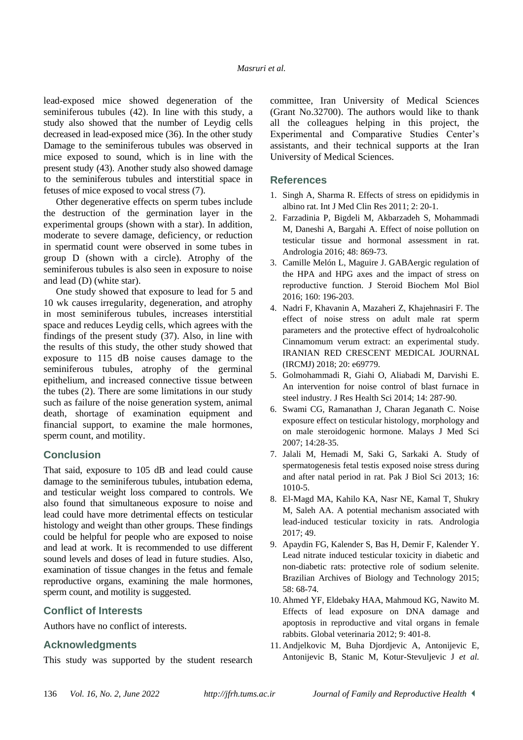lead-exposed mice showed degeneration of the seminiferous tubules [\(42\)](#page-6-5). In line with this study, a study also showed that the number of Leydig cells decreased in lead-exposed mice [\(36\)](#page-5-19). In the other study Damage to the seminiferous tubules was observed in mice exposed to sound, which is in line with the present study [\(43\)](#page-6-6). Another study also showed damage to the seminiferous tubules and interstitial space in fetuses of mice exposed to vocal stress [\(7\)](#page-4-4).

Other degenerative effects on sperm tubes include the destruction of the germination layer in the experimental groups (shown with a star). In addition, moderate to severe damage, deficiency, or reduction in spermatid count were observed in some tubes in group D (shown with a circle). Atrophy of the seminiferous tubules is also seen in exposure to noise and lead (D) (white star).

One study showed that exposure to lead for 5 and 10 wk causes irregularity, degeneration, and atrophy in most seminiferous tubules, increases interstitial space and reduces Leydig cells, which agrees with the findings of the present study [\(37\)](#page-6-0). Also, in line with the results of this study, the other study showed that exposure to 115 dB noise causes damage to the seminiferous tubules, atrophy of the germinal epithelium, and increased connective tissue between the tubes [\(2\)](#page-4-3). There are some limitations in our study such as failure of the noise generation system, animal death, shortage of examination equipment and financial support, to examine the male hormones, sperm count, and motility.

## **Conclusion**

That said, exposure to 105 dB and lead could cause damage to the seminiferous tubules, intubation edema, and testicular weight loss compared to controls. We also found that simultaneous exposure to noise and lead could have more detrimental effects on testicular histology and weight than other groups. These findings could be helpful for people who are exposed to noise and lead at work. It is recommended to use different sound levels and doses of lead in future studies. Also, examination of tissue changes in the fetus and female reproductive organs, examining the male hormones, sperm count, and motility is suggested.

## **Conflict of Interests**

Authors have no conflict of interests.

## **Acknowledgments**

This study was supported by the student research

committee, Iran University of Medical Sciences (Grant No.32700). The authors would like to thank all the colleagues helping in this project, the Experimental and Comparative Studies Center's assistants, and their technical supports at the Iran University of Medical Sciences.

## **References**

- <span id="page-4-0"></span>1. Singh A, Sharma R. Effects of stress on epididymis in albino rat. Int J Med Clin Res 2011; 2: 20-1.
- <span id="page-4-3"></span>2. Farzadinia P, Bigdeli M, Akbarzadeh S, Mohammadi M, Daneshi A, Bargahi A. Effect of noise pollution on testicular tissue and hormonal assessment in rat. Andrologia 2016; 48: 869-73.
- <span id="page-4-1"></span>3. Camille Melón L, Maguire J. GABAergic regulation of the HPA and HPG axes and the impact of stress on reproductive function. J Steroid Biochem Mol Biol 2016; 160: 196-203.
- 4. Nadri F, Khavanin A, Mazaheri Z, Khajehnasiri F. The effect of noise stress on adult male rat sperm parameters and the protective effect of hydroalcoholic Cinnamomum verum extract: an experimental study. [IRANIAN RED CRESCENT MEDICAL JOURNAL](https://www.sid.ir/en/Journal/JournalList.aspx?ID=3949)  [\(IRCMJ\)](https://www.sid.ir/en/Journal/JournalList.aspx?ID=3949) 2018; 20: e69779.
- <span id="page-4-2"></span>5. Golmohammadi R, Giahi O, Aliabadi M, Darvishi E. An intervention for noise control of blast furnace in steel industry. J Res Health Sci 2014; 14: 287-90.
- 6. Swami CG, Ramanathan J, Charan Jeganath C. Noise exposure effect on testicular histology, morphology and on male steroidogenic hormone. Malays J Med Sci 2007; 14:28-35.
- <span id="page-4-4"></span>7. Jalali M, Hemadi M, Saki G, Sarkaki A. Study of spermatogenesis fetal testis exposed noise stress during and after natal period in rat. Pak J Biol Sci 2013; 16: 1010-5.
- <span id="page-4-5"></span>8. El-Magd MA, Kahilo KA, Nasr NE, Kamal T, Shukry M, Saleh AA. A potential mechanism associated with lead-induced testicular toxicity in rats. Andrologia 2017; 49.
- 9. Apaydin FG, Kalender S, Bas H, Demir F, Kalender Y. Lead nitrate induced testicular toxicity in diabetic and non-diabetic rats: protective role of sodium selenite. Brazilian Archives of Biology and Technology 2015; 58: 68-74.
- <span id="page-4-6"></span>10. Ahmed YF, Eldebaky HAA, Mahmoud KG, Nawito M. Effects of lead exposure on DNA damage and apoptosis in reproductive and vital organs in female rabbits. Global veterinaria 2012; 9: 401-8.
- <span id="page-4-7"></span>11. Andjelkovic M, Buha Djordjevic A, Antonijevic E, Antonijevic B, Stanic M, Kotur-Stevuljevic J *et al.*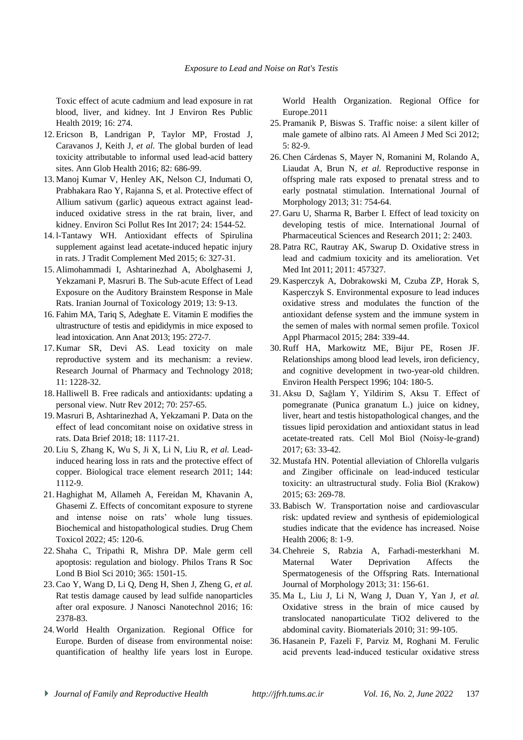Toxic effect of acute cadmium and lead exposure in rat blood, liver, and kidney. [Int J Environ Res Public](https://www.ncbi.nlm.nih.gov/pmc/articles/PMC6351928/)  [Health](https://www.ncbi.nlm.nih.gov/pmc/articles/PMC6351928/) 2019; 16: 274.

- <span id="page-5-0"></span>12. Ericson B, Landrigan P, Taylor MP, Frostad J, Caravanos J, Keith J*, et al.* The global burden of lead toxicity attributable to informal used lead-acid battery sites. Ann Glob Health 2016; 82: 686-99.
- 13. Manoj Kumar V, Henley AK, Nelson CJ, Indumati O, Prabhakara Rao Y, Rajanna S, et al. Protective effect of Allium sativum (garlic) aqueous extract against leadinduced oxidative stress in the rat brain, liver, and kidney. Environ Sci Pollut Res Int 2017; 24: 1544-52.
- 14. l-Tantawy WH. Antioxidant effects of Spirulina supplement against lead acetate-induced hepatic injury in rats. J Tradit Complement Med 2015; 6: 327-31.
- 15. Alimohammadi I, Ashtarinezhad A, Abolghasemi J, Yekzamani P, Masruri B. The Sub-acute Effect of Lead Exposure on the Auditory Brainstem Response in Male Rats. Iranian Journal of Toxicology 2019; 13: 9-13.
- 16. Fahim MA, Tariq S, Adeghate E. Vitamin E modifies the ultrastructure of testis and epididymis in mice exposed to lead intoxication. Ann Anat 2013; 195: 272-7.
- <span id="page-5-1"></span>17. Kumar SR, Devi AS. Lead toxicity on male reproductive system and its mechanism: a review. Research Journal of Pharmacy and Technology 2018; 11: 1228-32.
- <span id="page-5-2"></span>18. Halliwell B. Free radicals and antioxidants: updating a personal view. Nutr Rev 2012; 70: 257-65.
- <span id="page-5-3"></span>19. Masruri B, Ashtarinezhad A, Yekzamani P. Data on the effect of lead concomitant noise on oxidative stress in rats. Data Brief 2018; 18: 1117-21.
- <span id="page-5-4"></span>20. Liu S, Zhang K, Wu S, Ji X, Li N, Liu R*, et al.* Leadinduced hearing loss in rats and the protective effect of copper. Biological trace element research 2011; 144: 1112-9.
- <span id="page-5-5"></span>21. Haghighat M, Allameh A, Fereidan M, Khavanin A, Ghasemi Z. Effects of concomitant exposure to styrene and intense noise on rats' whole lung tissues. Biochemical and histopathological studies. Drug Chem Toxicol 2022; 45: 120-6.
- <span id="page-5-6"></span>22. Shaha C, Tripathi R, Mishra DP. Male germ cell apoptosis: regulation and biology. [Philos Trans R Soc](https://www.ncbi.nlm.nih.gov/pmc/articles/PMC2871916/)  [Lond B Biol Sci](https://www.ncbi.nlm.nih.gov/pmc/articles/PMC2871916/) 2010; 365: 1501-15.
- <span id="page-5-7"></span>23. Cao Y, Wang D, Li Q, Deng H, Shen J, Zheng G*, et al.* Rat testis damage caused by lead sulfide nanoparticles after oral exposure. J Nanosci Nanotechnol 2016; 16: 2378-83.
- 24. World Health Organization. Regional Office for Europe. Burden of disease from environmental noise: quantification of healthy life years lost in Europe.

World Health Organization. Regional Office for Europe.2011

- <span id="page-5-8"></span>25. Pramanik P, Biswas S. Traffic noise: a silent killer of male gamete of albino rats. Al Ameen J Med Sci 2012; 5: 82-9.
- <span id="page-5-9"></span>26. Chen Cárdenas S, Mayer N, Romanini M, Rolando A, Liaudat A, Brun N*, et al.* Reproductive response in offspring male rats exposed to prenatal stress and to early postnatal stimulation. International Journal of Morphology 2013; 31: 754-64.
- <span id="page-5-10"></span>27. Garu U, Sharma R, Barber I. Effect of lead toxicity on developing testis of mice. International Journal of Pharmaceutical Sciences and Research 2011; 2: 2403.
- <span id="page-5-11"></span>28. Patra RC, Rautray AK, Swarup D. Oxidative stress in lead and cadmium toxicity and its amelioration. [Vet](https://www.ncbi.nlm.nih.gov/pmc/articles/PMC3087445/)  [Med Int](https://www.ncbi.nlm.nih.gov/pmc/articles/PMC3087445/) 2011; 2011: 457327.
- <span id="page-5-12"></span>29. Kasperczyk A, Dobrakowski M, Czuba ZP, Horak S, Kasperczyk S. Environmental exposure to lead induces oxidative stress and modulates the function of the antioxidant defense system and the immune system in the semen of males with normal semen profile. Toxicol Appl Pharmacol 2015; 284: 339-44.
- <span id="page-5-13"></span>30. Ruff HA, Markowitz ME, Bijur PE, Rosen JF. Relationships among blood lead levels, iron deficiency, and cognitive development in two-year-old children. Environ Health Perspect 1996; 104: 180-5.
- <span id="page-5-14"></span>31. Aksu D, Sağlam Y, Yildirim S, Aksu T. Effect of pomegranate (Punica granatum L.) juice on kidney, liver, heart and testis histopathological changes, and the tissues lipid peroxidation and antioxidant status in lead acetate-treated rats. Cell Mol Biol (Noisy-le-grand) 2017; 63: 33-42.
- <span id="page-5-15"></span>32. Mustafa HN. Potential alleviation of Chlorella vulgaris and Zingiber officinale on lead-induced testicular toxicity: an ultrastructural study. Folia Biol (Krakow) 2015; 63: 269-78.
- <span id="page-5-16"></span>33. Babisch W. Transportation noise and cardiovascular risk: updated review and synthesis of epidemiological studies indicate that the evidence has increased. Noise Health 2006; 8: 1-9.
- <span id="page-5-17"></span>34. Chehreie S, Rabzia A, Farhadi-mesterkhani M. Maternal Water Deprivation Affects the Spermatogenesis of the Offspring Rats. International Journal of Morphology 2013; 31: 156-61.
- <span id="page-5-18"></span>35. Ma L, Liu J, Li N, Wang J, Duan Y, Yan J, *et al.* Oxidative stress in the brain of mice caused by translocated nanoparticulate TiO2 delivered to the abdominal cavity. Biomaterials 2010; 31: 99-105.
- <span id="page-5-19"></span>36. Hasanein P, Fazeli F, Parviz M, Roghani M. Ferulic acid prevents lead‐induced testicular oxidative stress
- *Journal of Family and Reproductive Health http://jfrh.tums.ac.ir Vol. 16, No. 2, June 2022* 137